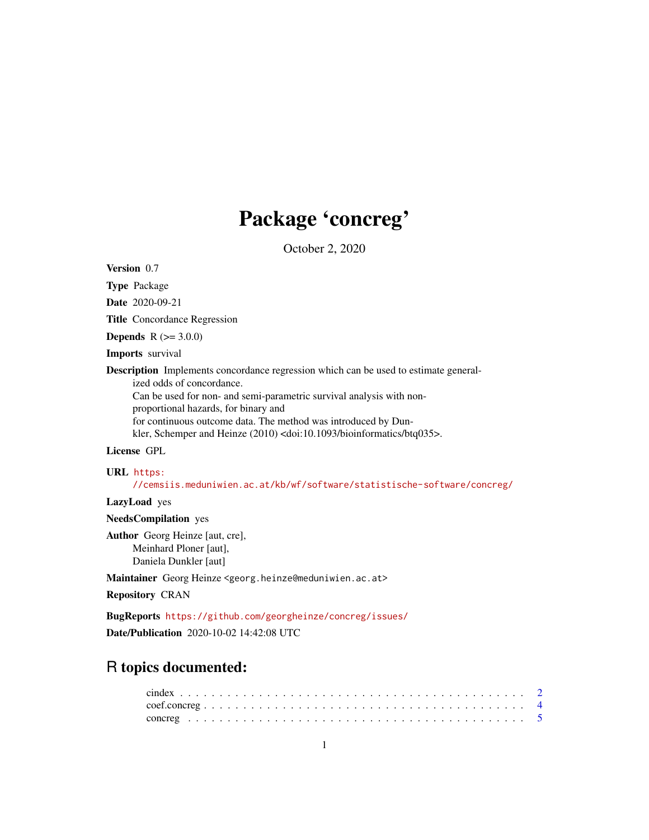# Package 'concreg'

October 2, 2020

Version 0.7

Type Package

Date 2020-09-21

Title Concordance Regression

**Depends**  $R (= 3.0.0)$ 

Imports survival

Description Implements concordance regression which can be used to estimate generalized odds of concordance. Can be used for non- and semi-parametric survival analysis with non-

proportional hazards, for binary and for continuous outcome data. The method was introduced by Dunkler, Schemper and Heinze (2010) <doi:10.1093/bioinformatics/btq035>.

# License GPL

#### URL [https:](https://cemsiis.meduniwien.ac.at/kb/wf/software/statistische-software/concreg/)

[//cemsiis.meduniwien.ac.at/kb/wf/software/statistische-software/concreg/](https://cemsiis.meduniwien.ac.at/kb/wf/software/statistische-software/concreg/)

LazyLoad yes

NeedsCompilation yes

Author Georg Heinze [aut, cre], Meinhard Ploner [aut], Daniela Dunkler [aut]

Maintainer Georg Heinze <georg.heinze@meduniwien.ac.at>

Repository CRAN

BugReports <https://github.com/georgheinze/concreg/issues/>

Date/Publication 2020-10-02 14:42:08 UTC

# R topics documented: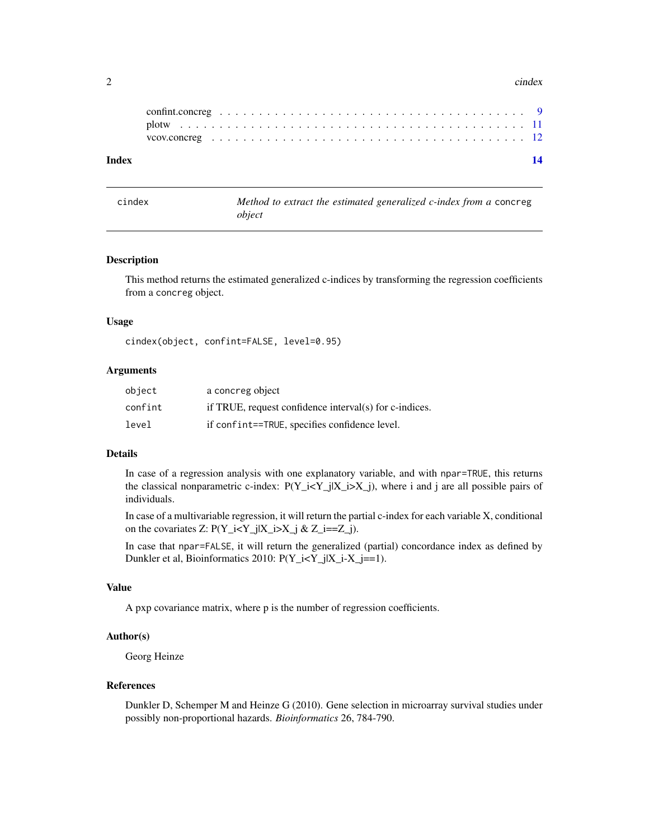#### <span id="page-1-0"></span>2 cindex contract to the contract of the contract of the contract of the contract of the contract of the contract of the contract of the contract of the contract of the contract of the contract of the contract of the contr

| Index |  |  |  |  |  |  |  |  |  |  |  |  |  |  |  |  |  |  |  |
|-------|--|--|--|--|--|--|--|--|--|--|--|--|--|--|--|--|--|--|--|
|       |  |  |  |  |  |  |  |  |  |  |  |  |  |  |  |  |  |  |  |
|       |  |  |  |  |  |  |  |  |  |  |  |  |  |  |  |  |  |  |  |

cindex *Method to extract the estimated generalized c-index from a* concreg *object*

#### Description

This method returns the estimated generalized c-indices by transforming the regression coefficients from a concreg object.

#### Usage

cindex(object, confint=FALSE, level=0.95)

#### Arguments

| object  | a concreg object                                       |
|---------|--------------------------------------------------------|
| confint | if TRUE, request confidence interval(s) for c-indices. |
| level   | if confint==TRUE, specifies confidence level.          |

# Details

In case of a regression analysis with one explanatory variable, and with npar=TRUE, this returns the classical nonparametric c-index:  $P(Y_i \leq Y_j | X_i \geq X_j)$ , where i and j are all possible pairs of individuals.

In case of a multivariable regression, it will return the partial c-index for each variable X, conditional on the covariates Z:  $P(Y_i = Y_j | X_i > X_j \& Z_i = Z_i).$ 

In case that npar=FALSE, it will return the generalized (partial) concordance index as defined by Dunkler et al, Bioinformatics 2010: P(Y\_i<Y\_j|X\_i-X\_j==1).

#### Value

A pxp covariance matrix, where p is the number of regression coefficients.

# Author(s)

Georg Heinze

#### References

Dunkler D, Schemper M and Heinze G (2010). Gene selection in microarray survival studies under possibly non-proportional hazards. *Bioinformatics* 26, 784-790.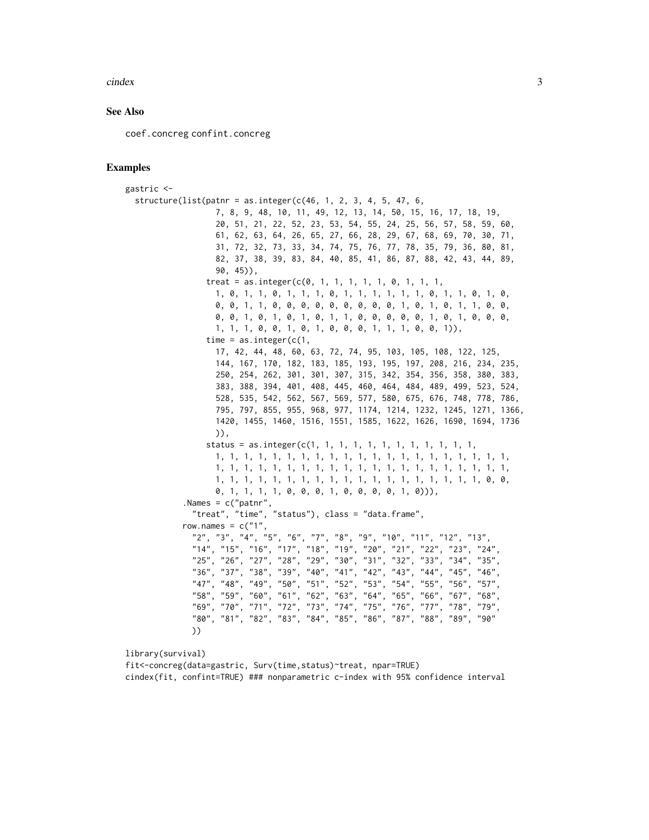#### $\frac{1}{3}$

#### See Also

coef.concreg confint.concreg

#### Examples

```
gastric <-
  structure(list(patnr = as.integer(c(46, 1, 2, 3, 4, 5, 47, 6,
                     7, 8, 9, 48, 10, 11, 49, 12, 13, 14, 50, 15, 16, 17, 18, 19,
                     20, 51, 21, 22, 52, 23, 53, 54, 55, 24, 25, 56, 57, 58, 59, 60,
                     61, 62, 63, 64, 26, 65, 27, 66, 28, 29, 67, 68, 69, 70, 30, 71,
                     31, 72, 32, 73, 33, 34, 74, 75, 76, 77, 78, 35, 79, 36, 80, 81,
                     82, 37, 38, 39, 83, 84, 40, 85, 41, 86, 87, 88, 42, 43, 44, 89,
                     90, 45)),
                   treat = as.integer(c(0, 1, 1, 1, 1, 1, 0, 1, 1, 1,1, 0, 1, 1, 0, 1, 1, 1, 0, 1, 1, 1, 1, 1, 1, 0, 1, 1, 0, 1, 0,
                     0, 0, 1, 1, 0, 0, 0, 0, 0, 0, 0, 0, 0, 1, 0, 1, 0, 1, 1, 0, 0,
                     0, 0, 1, 0, 1, 0, 1, 0, 1, 1, 0, 0, 0, 0, 0, 1, 0, 1, 0, 0, 0,
                     1, 1, 1, 0, 0, 1, 0, 1, 0, 0, 0, 1, 1, 1, 0, 0, 1)),
                   time = as.integer(c(1,17, 42, 44, 48, 60, 63, 72, 74, 95, 103, 105, 108, 122, 125,
                     144, 167, 170, 182, 183, 185, 193, 195, 197, 208, 216, 234, 235,
                     250, 254, 262, 301, 301, 307, 315, 342, 354, 356, 358, 380, 383,
                     383, 388, 394, 401, 408, 445, 460, 464, 484, 489, 499, 523, 524,
                     528, 535, 542, 562, 567, 569, 577, 580, 675, 676, 748, 778, 786,
                     795, 797, 855, 955, 968, 977, 1174, 1214, 1232, 1245, 1271, 1366,
                     1420, 1455, 1460, 1516, 1551, 1585, 1622, 1626, 1690, 1694, 1736
                     )),
                   status = as.integer(c(1, 1, 1, 1, 1, 1, 1, 1, 1, 1, 1, 1, 1,
                     1, 1, 1, 1, 1, 1, 1, 1, 1, 1, 1, 1, 1, 1, 1, 1, 1, 1, 1, 1, 1,
                     1, 1, 1, 1, 1, 1, 1, 1, 1, 1, 1, 1, 1, 1, 1, 1, 1, 1, 1, 1, 1,
                     1, 1, 1, 1, 1, 1, 1, 1, 1, 1, 1, 1, 1, 1, 1, 1, 1, 1, 1, 0, 0,
                     0, 1, 1, 1, 1, 0, 0, 0, 1, 0, 0, 0, 0, 1, 0))),
              .Names = c("patnr",
                "treat", "time", "status"), class = "data.frame",
             row.names = c("1","2", "3", "4", "5", "6", "7", "8", "9", "10", "11", "12", "13",
                "14", "15", "16", "17", "18", "19", "20", "21", "22", "23", "24",
                "25", "26", "27", "28", "29", "30", "31", "32", "33", "34", "35", "36", "37", "38", "39", "40", "41", "42", "43", "44", "45", "46", "46", "46", "47", "48", "46", "47", "48", "49", "46", "46", "47", "47", "48", "46", "47", "48", "46", "46", "47", "47", "48", "46", "46", "47", "47", "48", "46", "46", "47", "47", "48", "46", "46","36", "37", "38", "39", "40", "41", "42", "43", "44", "45", "46",
                "47", "48", "49", "50", "51", "52", "53", "54", "55", "56", "57",
                "58", "59", "60", "61", "62", "63", "64", "65", "66", "67", "68",
                "69", "70", "71", "72", "73", "74", "75", "76", "77", "78", "79",
                "80", "81", "82", "83", "84", "85", "86", "87", "88", "89", "90"
               ))
```
library(survival)

fit<-concreg(data=gastric, Surv(time,status)~treat, npar=TRUE)

cindex(fit, confint=TRUE) ### nonparametric c-index with 95% confidence interval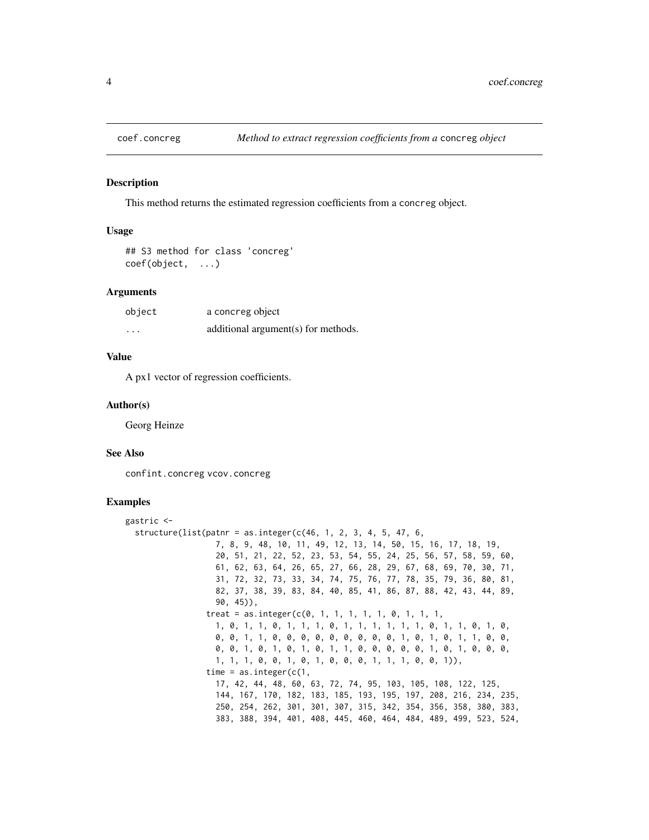<span id="page-3-1"></span><span id="page-3-0"></span>

#### Description

This method returns the estimated regression coefficients from a concreg object.

### Usage

```
## S3 method for class 'concreg'
coef(object, ...)
```
# Arguments

| object   | a concreg object                    |
|----------|-------------------------------------|
| $\cdots$ | additional argument(s) for methods. |

# Value

A px1 vector of regression coefficients.

#### Author(s)

Georg Heinze

#### See Also

confint.concreg vcov.concreg

# Examples

```
gastric <-
 structure(list(patnr = as.integer(c(46, 1, 2, 3, 4, 5, 47, 6,7, 8, 9, 48, 10, 11, 49, 12, 13, 14, 50, 15, 16, 17, 18, 19,
                   20, 51, 21, 22, 52, 23, 53, 54, 55, 24, 25, 56, 57, 58, 59, 60,
                   61, 62, 63, 64, 26, 65, 27, 66, 28, 29, 67, 68, 69, 70, 30, 71,
                   31, 72, 32, 73, 33, 34, 74, 75, 76, 77, 78, 35, 79, 36, 80, 81,
                   82, 37, 38, 39, 83, 84, 40, 85, 41, 86, 87, 88, 42, 43, 44, 89,
                   90, 45)),
                 treat = as.integer(c(0, 1, 1, 1, 1, 1, 0, 1, 1, 1,1, 0, 1, 1, 0, 1, 1, 1, 0, 1, 1, 1, 1, 1, 1, 0, 1, 1, 0, 1, 0,
                   0, 0, 1, 1, 0, 0, 0, 0, 0, 0, 0, 0, 0, 1, 0, 1, 0, 1, 1, 0, 0,
                   0, 0, 1, 0, 1, 0, 1, 0, 1, 1, 0, 0, 0, 0, 0, 1, 0, 1, 0, 0, 0,
                   1, 1, 1, 0, 0, 1, 0, 1, 0, 0, 0, 1, 1, 1, 0, 0, 1)),
                 time = as.integer(c(1,17, 42, 44, 48, 60, 63, 72, 74, 95, 103, 105, 108, 122, 125,
                   144, 167, 170, 182, 183, 185, 193, 195, 197, 208, 216, 234, 235,
                   250, 254, 262, 301, 301, 307, 315, 342, 354, 356, 358, 380, 383,
                   383, 388, 394, 401, 408, 445, 460, 464, 484, 489, 499, 523, 524,
```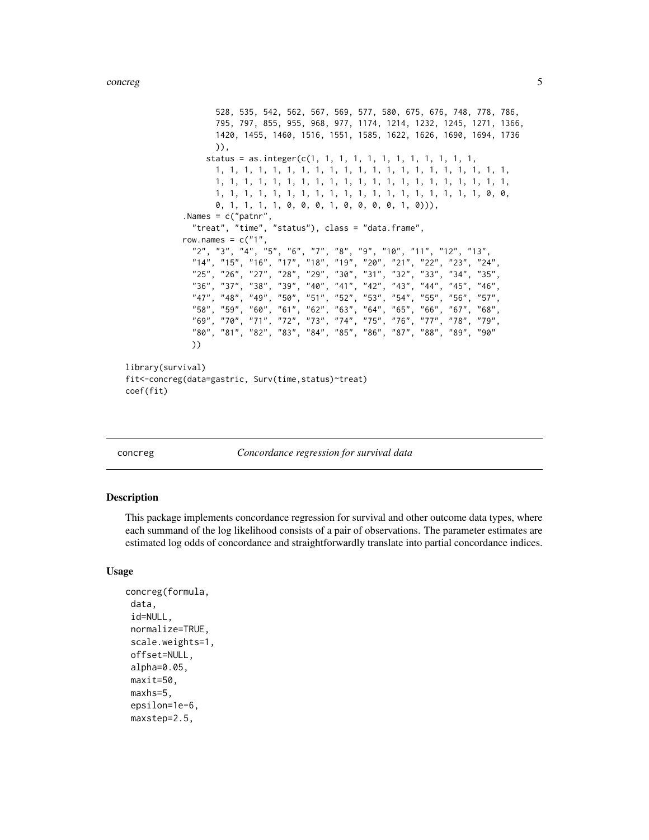```
528, 535, 542, 562, 567, 569, 577, 580, 675, 676, 748, 778, 786,
                   795, 797, 855, 955, 968, 977, 1174, 1214, 1232, 1245, 1271, 1366,
                   1420, 1455, 1460, 1516, 1551, 1585, 1622, 1626, 1690, 1694, 1736
                   )),
                 status = as.integer(c(1, 1, 1, 1, 1, 1, 1, 1, 1, 1, 1, 1,
                   1, 1, 1, 1, 1, 1, 1, 1, 1, 1, 1, 1, 1, 1, 1, 1, 1, 1, 1, 1, 1,
                   1, 1, 1, 1, 1, 1, 1, 1, 1, 1, 1, 1, 1, 1, 1, 1, 1, 1, 1, 1, 1,
                   1, 1, 1, 1, 1, 1, 1, 1, 1, 1, 1, 1, 1, 1, 1, 1, 1, 1, 1, 0, 0,
                   0, 1, 1, 1, 1, 0, 0, 0, 1, 0, 0, 0, 0, 1, 0))),
            .Names = c("patnr",
              "treat", "time", "status"), class = "data.frame",
            row.names = c("1")"2", "3", "4", "5", "6", "7", "8", "9", "10", "11", "12", "13",
              "14", "15", "16", "17", "18", "19", "20", "21", "22", "23", "24",
              "25", "26", "27", "28", "29", "30", "31", "32", "33", "34", "35",
              "36", "37", "38", "39", "40", "41", "42", "43", "44", "45", "46",
              "47", "48", "49", "50", "51", "52", "53", "54", "55", "56", "57",
              "58", "59", "60", "61", "62", "63", "64", "65", "66", "67", "68",
              "69", "70", "71", "72", "73", "74", "75", "76", "77", "78", "79",
              "80", "81", "82", "83", "84", "85", "86", "87", "88", "89", "90"
             ))
library(survival)
fit<-concreg(data=gastric, Surv(time,status)~treat)
coef(fit)
```
concreg *Concordance regression for survival data*

#### **Description**

This package implements concordance regression for survival and other outcome data types, where each summand of the log likelihood consists of a pair of observations. The parameter estimates are estimated log odds of concordance and straightforwardly translate into partial concordance indices.

#### Usage

```
concreg(formula,
data,
id=NULL,
normalize=TRUE,
scale.weights=1,
offset=NULL,
alpha=0.05,
maxit=50,
maxhs=5,
epsilon=1e-6,
maxstep=2.5,
```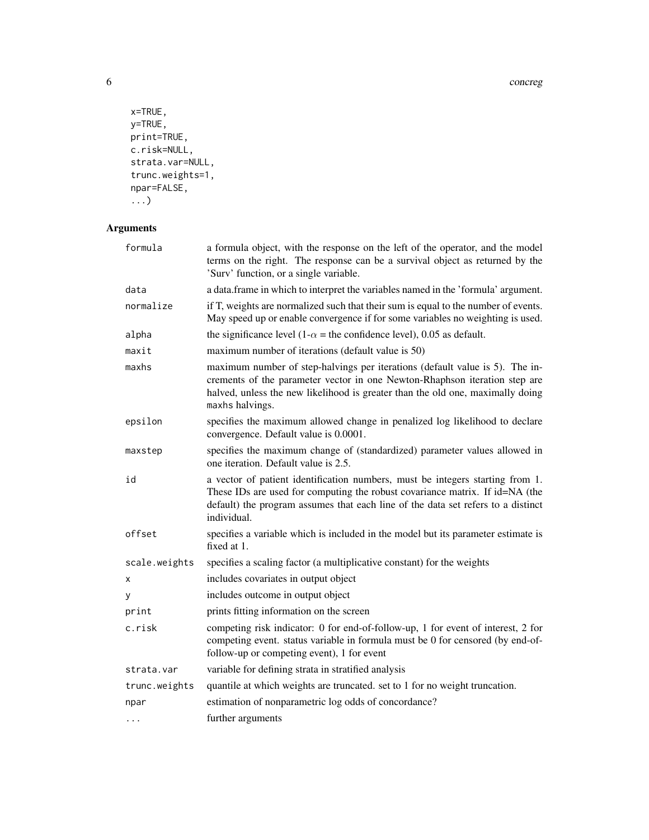```
x=TRUE,
y=TRUE,
print=TRUE,
c.risk=NULL,
strata.var=NULL,
trunc.weights=1,
npar=FALSE,
...)
```
# Arguments

| formula       | a formula object, with the response on the left of the operator, and the model<br>terms on the right. The response can be a survival object as returned by the<br>'Surv' function, or a single variable.                                                         |
|---------------|------------------------------------------------------------------------------------------------------------------------------------------------------------------------------------------------------------------------------------------------------------------|
| data          | a data. frame in which to interpret the variables named in the 'formula' argument.                                                                                                                                                                               |
| normalize     | if T, weights are normalized such that their sum is equal to the number of events.<br>May speed up or enable convergence if for some variables no weighting is used.                                                                                             |
| alpha         | the significance level (1- $\alpha$ = the confidence level), 0.05 as default.                                                                                                                                                                                    |
| maxit         | maximum number of iterations (default value is 50)                                                                                                                                                                                                               |
| maxhs         | maximum number of step-halvings per iterations (default value is 5). The in-<br>crements of the parameter vector in one Newton-Rhaphson iteration step are<br>halved, unless the new likelihood is greater than the old one, maximally doing<br>maxhs halvings.  |
| epsilon       | specifies the maximum allowed change in penalized log likelihood to declare<br>convergence. Default value is 0.0001.                                                                                                                                             |
| maxstep       | specifies the maximum change of (standardized) parameter values allowed in<br>one iteration. Default value is 2.5.                                                                                                                                               |
| id            | a vector of patient identification numbers, must be integers starting from 1.<br>These IDs are used for computing the robust covariance matrix. If id=NA (the<br>default) the program assumes that each line of the data set refers to a distinct<br>individual. |
| offset        | specifies a variable which is included in the model but its parameter estimate is<br>fixed at 1.                                                                                                                                                                 |
| scale.weights | specifies a scaling factor (a multiplicative constant) for the weights                                                                                                                                                                                           |
| X             | includes covariates in output object                                                                                                                                                                                                                             |
| У             | includes outcome in output object                                                                                                                                                                                                                                |
| print         | prints fitting information on the screen                                                                                                                                                                                                                         |
| c.risk        | competing risk indicator: 0 for end-of-follow-up, 1 for event of interest, 2 for<br>competing event. status variable in formula must be 0 for censored (by end-of-<br>follow-up or competing event), 1 for event                                                 |
| strata.var    | variable for defining strata in stratified analysis                                                                                                                                                                                                              |
| trunc.weights | quantile at which weights are truncated. set to 1 for no weight truncation.                                                                                                                                                                                      |
| npar          | estimation of nonparametric log odds of concordance?                                                                                                                                                                                                             |
| .             | further arguments                                                                                                                                                                                                                                                |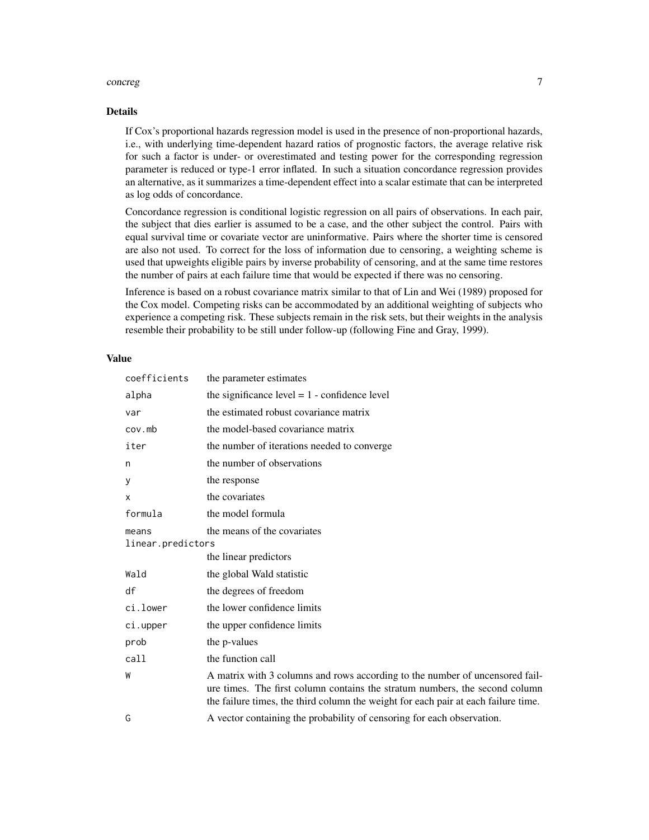#### concreg  $\sim$  7

# Details

If Cox's proportional hazards regression model is used in the presence of non-proportional hazards, i.e., with underlying time-dependent hazard ratios of prognostic factors, the average relative risk for such a factor is under- or overestimated and testing power for the corresponding regression parameter is reduced or type-1 error inflated. In such a situation concordance regression provides an alternative, as it summarizes a time-dependent effect into a scalar estimate that can be interpreted as log odds of concordance.

Concordance regression is conditional logistic regression on all pairs of observations. In each pair, the subject that dies earlier is assumed to be a case, and the other subject the control. Pairs with equal survival time or covariate vector are uninformative. Pairs where the shorter time is censored are also not used. To correct for the loss of information due to censoring, a weighting scheme is used that upweights eligible pairs by inverse probability of censoring, and at the same time restores the number of pairs at each failure time that would be expected if there was no censoring.

Inference is based on a robust covariance matrix similar to that of Lin and Wei (1989) proposed for the Cox model. Competing risks can be accommodated by an additional weighting of subjects who experience a competing risk. These subjects remain in the risk sets, but their weights in the analysis resemble their probability to be still under follow-up (following Fine and Gray, 1999).

#### Value

| coefficients               | the parameter estimates                                                                                                                                                                                                                           |
|----------------------------|---------------------------------------------------------------------------------------------------------------------------------------------------------------------------------------------------------------------------------------------------|
| alpha                      | the significance level $= 1$ - confidence level                                                                                                                                                                                                   |
| var                        | the estimated robust covariance matrix                                                                                                                                                                                                            |
| cov <sub>1</sub> mb        | the model-based covariance matrix                                                                                                                                                                                                                 |
| iter                       | the number of iterations needed to converge                                                                                                                                                                                                       |
| n                          | the number of observations                                                                                                                                                                                                                        |
| y                          | the response                                                                                                                                                                                                                                      |
| X                          | the covariates                                                                                                                                                                                                                                    |
| formula                    | the model formula                                                                                                                                                                                                                                 |
| means<br>linear.predictors | the means of the covariates                                                                                                                                                                                                                       |
|                            | the linear predictors                                                                                                                                                                                                                             |
| Wald                       | the global Wald statistic                                                                                                                                                                                                                         |
| df                         | the degrees of freedom                                                                                                                                                                                                                            |
| ci.lower                   | the lower confidence limits                                                                                                                                                                                                                       |
| ci.upper                   | the upper confidence limits                                                                                                                                                                                                                       |
| prob                       | the <i>p</i> -values                                                                                                                                                                                                                              |
| call                       | the function call                                                                                                                                                                                                                                 |
| W                          | A matrix with 3 columns and rows according to the number of uncensored fail-<br>ure times. The first column contains the stratum numbers, the second column<br>the failure times, the third column the weight for each pair at each failure time. |
| G                          | A vector containing the probability of censoring for each observation.                                                                                                                                                                            |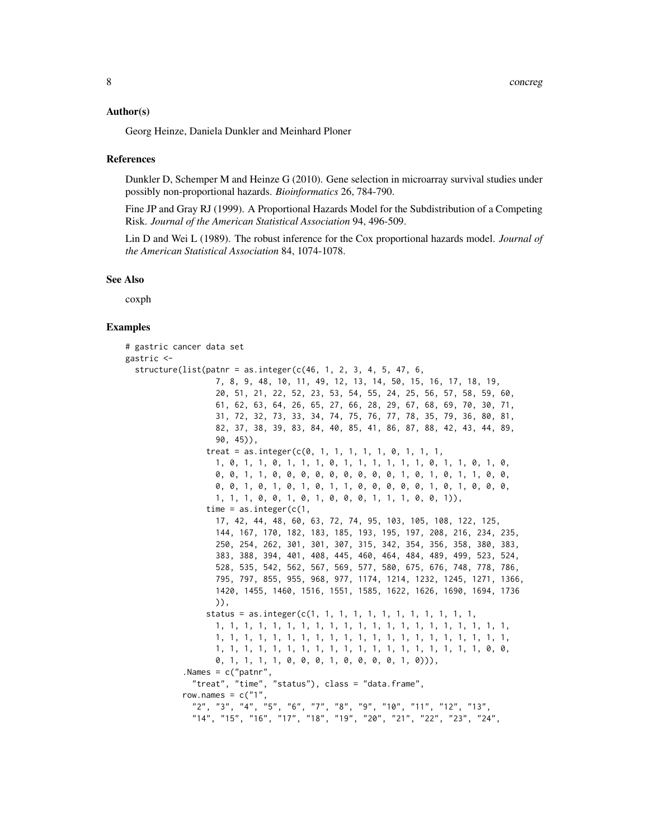#### Author(s)

Georg Heinze, Daniela Dunkler and Meinhard Ploner

#### References

Dunkler D, Schemper M and Heinze G (2010). Gene selection in microarray survival studies under possibly non-proportional hazards. *Bioinformatics* 26, 784-790.

Fine JP and Gray RJ (1999). A Proportional Hazards Model for the Subdistribution of a Competing Risk. *Journal of the American Statistical Association* 94, 496-509.

Lin D and Wei L (1989). The robust inference for the Cox proportional hazards model. *Journal of the American Statistical Association* 84, 1074-1078.

#### See Also

coxph

# Examples

```
# gastric cancer data set
gastric <-
 structure(list(pathr = as.integer(c(46, 1, 2, 3, 4, 5, 47, 6,7, 8, 9, 48, 10, 11, 49, 12, 13, 14, 50, 15, 16, 17, 18, 19,
                   20, 51, 21, 22, 52, 23, 53, 54, 55, 24, 25, 56, 57, 58, 59, 60,
                   61, 62, 63, 64, 26, 65, 27, 66, 28, 29, 67, 68, 69, 70, 30, 71,
                   31, 72, 32, 73, 33, 34, 74, 75, 76, 77, 78, 35, 79, 36, 80, 81,
                   82, 37, 38, 39, 83, 84, 40, 85, 41, 86, 87, 88, 42, 43, 44, 89,
                   90, 45)),
                 treat = as.integer(c(0, 1, 1, 1, 1, 1, 0, 1, 1, 1,1, 0, 1, 1, 0, 1, 1, 1, 0, 1, 1, 1, 1, 1, 1, 0, 1, 1, 0, 1, 0,
                   0, 0, 1, 1, 0, 0, 0, 0, 0, 0, 0, 0, 0, 1, 0, 1, 0, 1, 1, 0, 0,
                   0, 0, 1, 0, 1, 0, 1, 0, 1, 1, 0, 0, 0, 0, 0, 1, 0, 1, 0, 0, 0,
                   1, 1, 1, 0, 0, 1, 0, 1, 0, 0, 0, 1, 1, 1, 0, 0, 1)),
                 time = as.integer(c(1,17, 42, 44, 48, 60, 63, 72, 74, 95, 103, 105, 108, 122, 125,
                   144, 167, 170, 182, 183, 185, 193, 195, 197, 208, 216, 234, 235,
                   250, 254, 262, 301, 301, 307, 315, 342, 354, 356, 358, 380, 383,
                   383, 388, 394, 401, 408, 445, 460, 464, 484, 489, 499, 523, 524,
                   528, 535, 542, 562, 567, 569, 577, 580, 675, 676, 748, 778, 786,
                   795, 797, 855, 955, 968, 977, 1174, 1214, 1232, 1245, 1271, 1366,
                   1420, 1455, 1460, 1516, 1551, 1585, 1622, 1626, 1690, 1694, 1736
                   )),
                 status = as.integer(c(1, 1, 1, 1, 1, 1, 1, 1, 1, 1, 1, 1, 1,
                   1, 1, 1, 1, 1, 1, 1, 1, 1, 1, 1, 1, 1, 1, 1, 1, 1, 1, 1, 1, 1,
                   1, 1, 1, 1, 1, 1, 1, 1, 1, 1, 1, 1, 1, 1, 1, 1, 1, 1, 1, 1, 1,
                   1, 1, 1, 1, 1, 1, 1, 1, 1, 1, 1, 1, 1, 1, 1, 1, 1, 1, 1, 0, 0,
                   0, 1, 1, 1, 1, 0, 0, 0, 1, 0, 0, 0, 0, 1, 0))),
            .Names = c("patnr",
              "treat", "time", "status"), class = "data.frame",
            row.names = c("1")"2", "3", "4", "5", "6", "7", "8", "9", "10", "11", "12", "13",
              "14", "15", "16", "17", "18", "19", "20", "21", "22", "23", "24",
```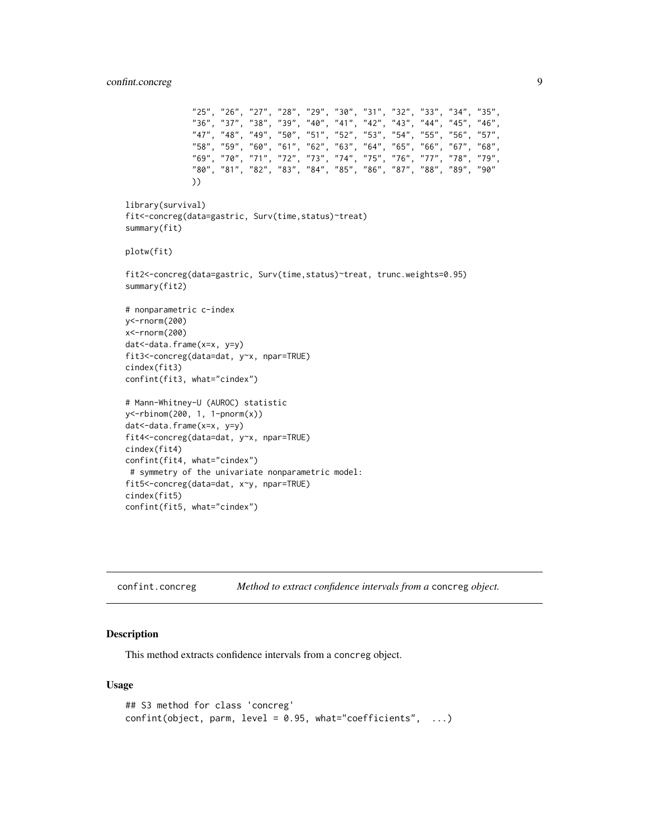```
"25", "26", "27", "28", "29", "30", "31", "32", "33", "34", "35",
              "36", "37", "38", "39", "40", "41", "42", "43", "44", "45", "46",
              "47", "48", "49", "50", "51", "52", "53", "54", "55", "56", "57",
              "58", "59", "60", "61", "62", "63", "64", "65", "66", "67", "68",
              "69", "70", "71", "72", "73", "74", "75", "76", "77", "78", "79",
              "80", "81", "82", "83", "84", "85", "86", "87", "88", "89", "90"
             ))
library(survival)
fit<-concreg(data=gastric, Surv(time,status)~treat)
summary(fit)
plotw(fit)
fit2<-concreg(data=gastric, Surv(time,status)~treat, trunc.weights=0.95)
summary(fit2)
# nonparametric c-index
y<-rnorm(200)
x<-rnorm(200)
dat<-data.frame(x=x, y=y)
fit3<-concreg(data=dat, y~x, npar=TRUE)
cindex(fit3)
confint(fit3, what="cindex")
# Mann-Whitney-U (AUROC) statistic
y<-rbinom(200, 1, 1-pnorm(x))
dat<-data.frame(x=x, y=y)
fit4<-concreg(data=dat, y~x, npar=TRUE)
cindex(fit4)
confint(fit4, what="cindex")
# symmetry of the univariate nonparametric model:
fit5<-concreg(data=dat, x~y, npar=TRUE)
cindex(fit5)
confint(fit5, what="cindex")
```
confint.concreg *Method to extract confidence intervals from a* concreg *object.*

#### Description

This method extracts confidence intervals from a concreg object.

#### Usage

```
## S3 method for class 'concreg'
confint(object, parm, level = 0.95, what="coefficients", ...)
```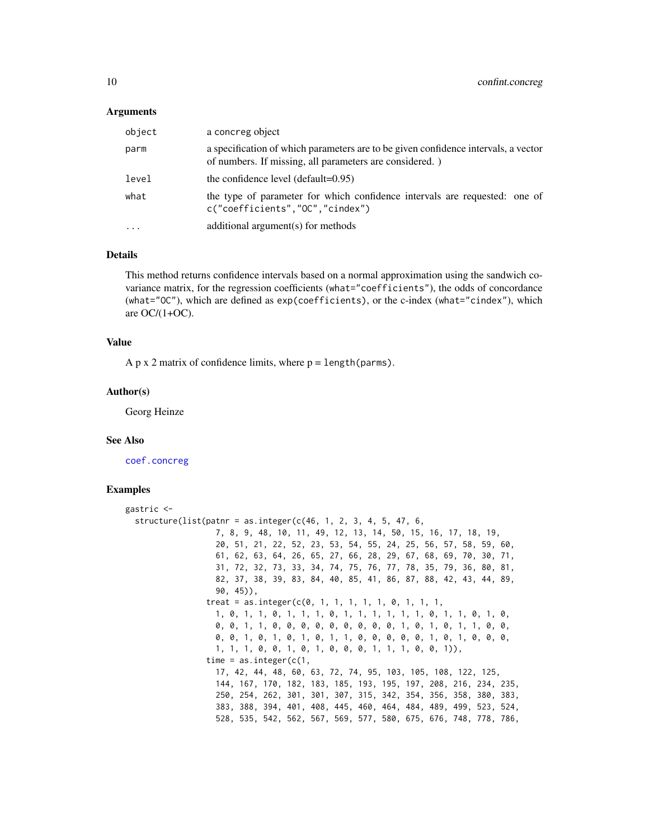#### <span id="page-9-0"></span>Arguments

| object | a concreg object                                                                                                                              |
|--------|-----------------------------------------------------------------------------------------------------------------------------------------------|
| parm   | a specification of which parameters are to be given confidence intervals, a vector<br>of numbers. If missing, all parameters are considered.) |
| level  | the confidence level (default= $0.95$ )                                                                                                       |
| what   | the type of parameter for which confidence intervals are requested: one of<br>c("coefficients","OC","cindex")                                 |
|        | additional argument(s) for methods                                                                                                            |

#### Details

This method returns confidence intervals based on a normal approximation using the sandwich covariance matrix, for the regression coefficients (what="coefficients"), the odds of concordance (what="OC"), which are defined as exp(coefficients), or the c-index (what="cindex"), which are OC/(1+OC).

#### Value

A p x 2 matrix of confidence limits, where  $p = length(parms)$ .

#### Author(s)

Georg Heinze

#### See Also

[coef.concreg](#page-3-1)

#### Examples

```
gastric <-
 structure(list(patnr = as.integer(c(46, 1, 2, 3, 4, 5, 47, 6,7, 8, 9, 48, 10, 11, 49, 12, 13, 14, 50, 15, 16, 17, 18, 19,
                   20, 51, 21, 22, 52, 23, 53, 54, 55, 24, 25, 56, 57, 58, 59, 60,
                   61, 62, 63, 64, 26, 65, 27, 66, 28, 29, 67, 68, 69, 70, 30, 71,
                   31, 72, 32, 73, 33, 34, 74, 75, 76, 77, 78, 35, 79, 36, 80, 81,
                   82, 37, 38, 39, 83, 84, 40, 85, 41, 86, 87, 88, 42, 43, 44, 89,
                   90, 45)),
                 treat = as.integer(c(0, 1, 1, 1, 1, 1, 0, 1, 1, 1,1, 0, 1, 1, 0, 1, 1, 1, 0, 1, 1, 1, 1, 1, 1, 0, 1, 1, 0, 1, 0,
                   0, 0, 1, 1, 0, 0, 0, 0, 0, 0, 0, 0, 0, 1, 0, 1, 0, 1, 1, 0, 0,
                   0, 0, 1, 0, 1, 0, 1, 0, 1, 1, 0, 0, 0, 0, 0, 1, 0, 1, 0, 0, 0,
                   1, 1, 1, 0, 0, 1, 0, 1, 0, 0, 0, 1, 1, 1, 0, 0, 1)),
                 time = as.integer(c(1,17, 42, 44, 48, 60, 63, 72, 74, 95, 103, 105, 108, 122, 125,
                   144, 167, 170, 182, 183, 185, 193, 195, 197, 208, 216, 234, 235,
                   250, 254, 262, 301, 301, 307, 315, 342, 354, 356, 358, 380, 383,
                   383, 388, 394, 401, 408, 445, 460, 464, 484, 489, 499, 523, 524,
                   528, 535, 542, 562, 567, 569, 577, 580, 675, 676, 748, 778, 786,
```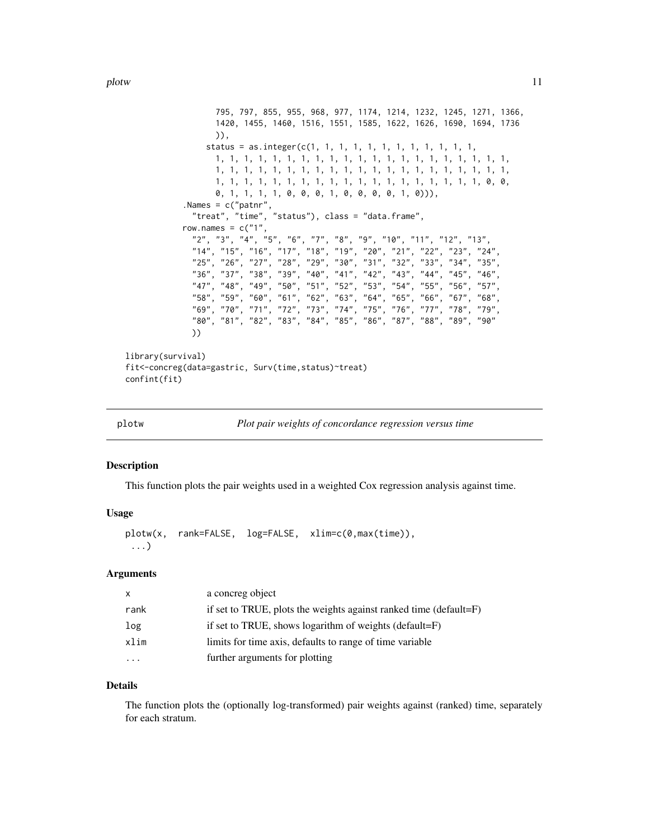<span id="page-10-0"></span>plotw the contract of the contract of the contract of the contract of the contract of the contract of the contract of the contract of the contract of the contract of the contract of the contract of the contract of the cont

```
795, 797, 855, 955, 968, 977, 1174, 1214, 1232, 1245, 1271, 1366,
                    1420, 1455, 1460, 1516, 1551, 1585, 1622, 1626, 1690, 1694, 1736
                    )),
                  status = as.integer(c(1, 1, 1, 1, 1, 1, 1, 1, 1, 1, 1, 1, 1,
                    1, 1, 1, 1, 1, 1, 1, 1, 1, 1, 1, 1, 1, 1, 1, 1, 1, 1, 1, 1, 1,
                    1, 1, 1, 1, 1, 1, 1, 1, 1, 1, 1, 1, 1, 1, 1, 1, 1, 1, 1, 1, 1,
                    1, 1, 1, 1, 1, 1, 1, 1, 1, 1, 1, 1, 1, 1, 1, 1, 1, 1, 1, 0, 0,
                    0, 1, 1, 1, 1, 0, 0, 0, 1, 0, 0, 0, 0, 1, 0))),
             .Names = c("patnr",
               "treat", "time", "status"), class = "data.frame",
            row.names = c("1")"2", "3", "4", "5", "6", "7", "8", "9", "10", "11", "12", "13",
               "14", "15", "16", "17", "18", "19", "20", "21", "22", "23", "24"<br>"25", "26", "27", "28", "29", "30", "31", "32", "33", "34", "35"
               "25", "26", "27", "28", "29", "30", "31", "32", "33", "34", "35",
               "36", "37", "38", "39", "40", "41", "42", "43", "44", "45", "46",
               "47", "48", "49", "50", "51", "52", "53", "54", "55", "56", "57",
               "58", "59", "60", "61", "62", "63", "64", "65", "66", "67", "68",
               "69", "70", "71", "72", "73", "74", "75", "76", "77", "78", "79",
               "80", "81", "82", "83", "84", "85", "86", "87", "88", "89", "90"
              ))
library(survival)
fit<-concreg(data=gastric, Surv(time,status)~treat)
confint(fit)
```

| plotw |  |  | Plot pair weights of concordance regression versus time |  |  |
|-------|--|--|---------------------------------------------------------|--|--|
|       |  |  |                                                         |  |  |

#### **Description**

This function plots the pair weights used in a weighted Cox regression analysis against time.

# Usage

plotw(x, rank=FALSE, log=FALSE, xlim=c(0,max(time)), ...)

#### Arguments

| x       | a concreg object                                                  |
|---------|-------------------------------------------------------------------|
| rank    | if set to TRUE, plots the weights against ranked time (default=F) |
| log     | if set to TRUE, shows logarithm of weights (default= $F$ )        |
| xlim    | limits for time axis, defaults to range of time variable          |
| $\cdot$ | further arguments for plotting                                    |

#### Details

The function plots the (optionally log-transformed) pair weights against (ranked) time, separately for each stratum.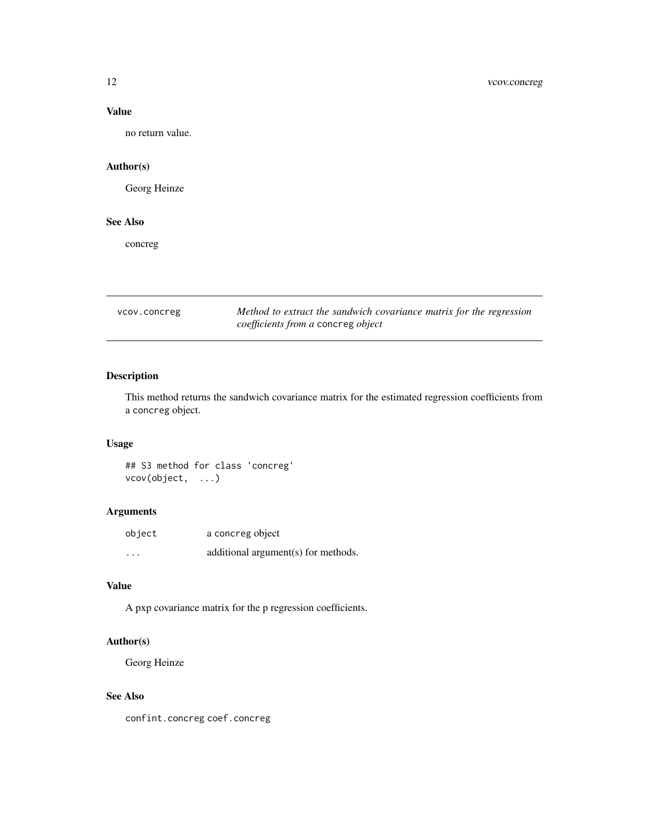# Value

no return value.

### Author(s)

Georg Heinze

# See Also

concreg

vcov.concreg *Method to extract the sandwich covariance matrix for the regression coefficients from a* concreg *object*

# Description

This method returns the sandwich covariance matrix for the estimated regression coefficients from a concreg object.

# Usage

## S3 method for class 'concreg' vcov(object, ...)

# Arguments

| object   | a concreg object                    |
|----------|-------------------------------------|
| $\cdots$ | additional argument(s) for methods. |

# Value

A pxp covariance matrix for the p regression coefficients.

# Author(s)

Georg Heinze

### See Also

confint.concreg coef.concreg

<span id="page-11-0"></span>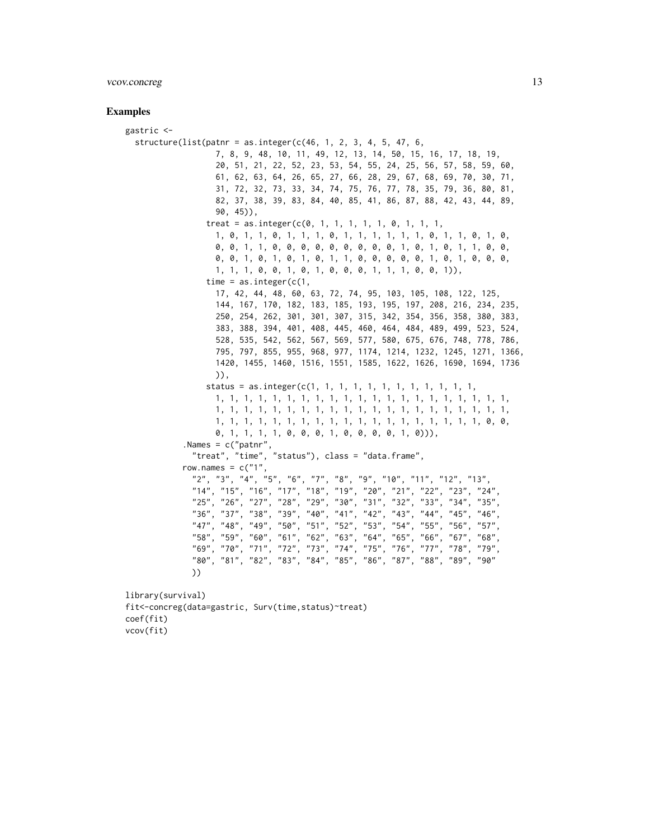#### vcov.concreg 13

#### Examples

```
gastric <-
 structure(list(pathr = as.integer(c(46, 1, 2, 3, 4, 5, 47, 6,7, 8, 9, 48, 10, 11, 49, 12, 13, 14, 50, 15, 16, 17, 18, 19,
                   20, 51, 21, 22, 52, 23, 53, 54, 55, 24, 25, 56, 57, 58, 59, 60,
                   61, 62, 63, 64, 26, 65, 27, 66, 28, 29, 67, 68, 69, 70, 30, 71,
                   31, 72, 32, 73, 33, 34, 74, 75, 76, 77, 78, 35, 79, 36, 80, 81,
                   82, 37, 38, 39, 83, 84, 40, 85, 41, 86, 87, 88, 42, 43, 44, 89,
                  90, 45)),
                 treat = as.integer(c(0, 1, 1, 1, 1, 1, 0, 1, 1, 1,1, 0, 1, 1, 0, 1, 1, 1, 0, 1, 1, 1, 1, 1, 1, 0, 1, 1, 0, 1, 0,
                   0, 0, 1, 1, 0, 0, 0, 0, 0, 0, 0, 0, 0, 1, 0, 1, 0, 1, 1, 0, 0,
                   0, 0, 1, 0, 1, 0, 1, 0, 1, 1, 0, 0, 0, 0, 0, 1, 0, 1, 0, 0, 0,
                  1, 1, 1, 0, 0, 1, 0, 1, 0, 0, 0, 1, 1, 1, 0, 0, 1)),
                 time = as.integer(c(1,17, 42, 44, 48, 60, 63, 72, 74, 95, 103, 105, 108, 122, 125,
                   144, 167, 170, 182, 183, 185, 193, 195, 197, 208, 216, 234, 235,
                   250, 254, 262, 301, 301, 307, 315, 342, 354, 356, 358, 380, 383,
                   383, 388, 394, 401, 408, 445, 460, 464, 484, 489, 499, 523, 524,
                  528, 535, 542, 562, 567, 569, 577, 580, 675, 676, 748, 778, 786,
                  795, 797, 855, 955, 968, 977, 1174, 1214, 1232, 1245, 1271, 1366,
                  1420, 1455, 1460, 1516, 1551, 1585, 1622, 1626, 1690, 1694, 1736
                  )),
                 status = as.integer(c(1, 1, 1, 1, 1, 1, 1, 1, 1, 1, 1, 1,
                  1, 1, 1, 1, 1, 1, 1, 1, 1, 1, 1, 1, 1, 1, 1, 1, 1, 1, 1, 1, 1,
                   1, 1, 1, 1, 1, 1, 1, 1, 1, 1, 1, 1, 1, 1, 1, 1, 1, 1, 1, 1, 1,
                  1, 1, 1, 1, 1, 1, 1, 1, 1, 1, 1, 1, 1, 1, 1, 1, 1, 1, 1, 0, 0,
                  0, 1, 1, 1, 1, 0, 0, 0, 1, 0, 0, 0, 0, 1, 0))),
            .Names = c("patnr",
              "treat", "time", "status"), class = "data.frame",
            row.names = c("1","2", "3", "4", "5", "6", "7", "8", "9", "10", "11", "12", "13",
              "14", "15", "16", "17", "18", "19", "20", "21", "22", "23", "24",
              "25", "26", "27", "28", "29", "30", "31", "32", "33", "34", "35",
              "36", "37", "38", "39", "40", "41", "42", "43", "44", "45", "46",
              "47", "48", "49", "50", "51", "52", "53", "54", "55", "56", "57",
              "58", "59", "60", "61", "62", "63", "64", "65", "66", "67", "68",
              "69", "70", "71", "72", "73", "74", "75", "76", "77", "78", "79",
              "80", "81", "82", "83", "84", "85", "86", "87", "88", "89", "90"
             ))
library(survival)
fit<-concreg(data=gastric, Surv(time,status)~treat)
coef(fit)
```
vcov(fit)